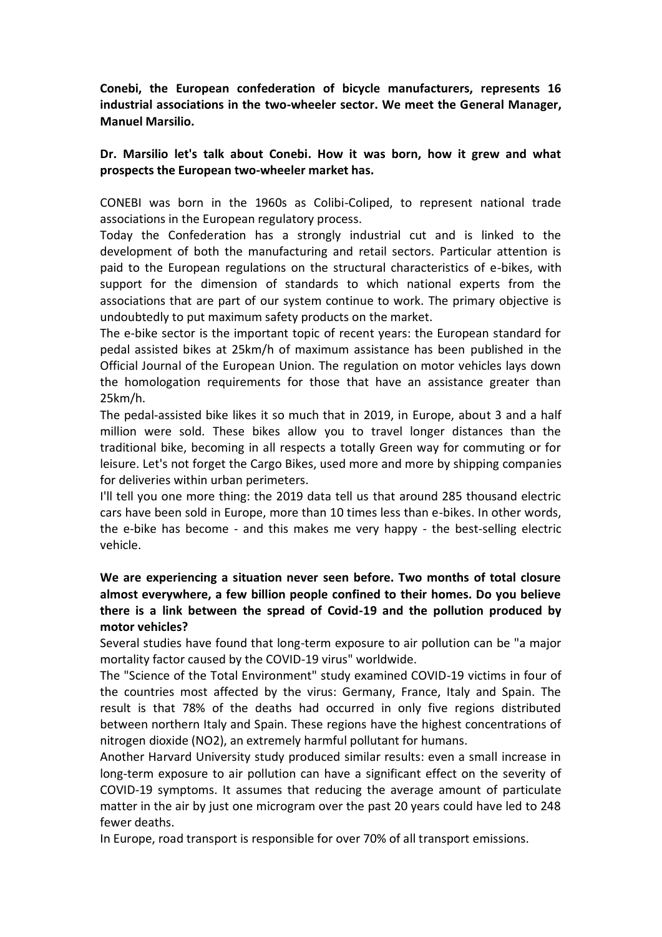**Conebi, the European confederation of bicycle manufacturers, represents 16 industrial associations in the two-wheeler sector. We meet the General Manager, Manuel Marsilio.**

## **Dr. Marsilio let's talk about Conebi. How it was born, how it grew and what prospects the European two-wheeler market has.**

CONEBI was born in the 1960s as Colibi-Coliped, to represent national trade associations in the European regulatory process.

Today the Confederation has a strongly industrial cut and is linked to the development of both the manufacturing and retail sectors. Particular attention is paid to the European regulations on the structural characteristics of e-bikes, with support for the dimension of standards to which national experts from the associations that are part of our system continue to work. The primary objective is undoubtedly to put maximum safety products on the market.

The e-bike sector is the important topic of recent years: the European standard for pedal assisted bikes at 25km/h of maximum assistance has been published in the Official Journal of the European Union. The regulation on motor vehicles lays down the homologation requirements for those that have an assistance greater than 25km/h.

The pedal-assisted bike likes it so much that in 2019, in Europe, about 3 and a half million were sold. These bikes allow you to travel longer distances than the traditional bike, becoming in all respects a totally Green way for commuting or for leisure. Let's not forget the Cargo Bikes, used more and more by shipping companies for deliveries within urban perimeters.

I'll tell you one more thing: the 2019 data tell us that around 285 thousand electric cars have been sold in Europe, more than 10 times less than e-bikes. In other words, the e-bike has become - and this makes me very happy - the best-selling electric vehicle.

## **We are experiencing a situation never seen before. Two months of total closure almost everywhere, a few billion people confined to their homes. Do you believe there is a link between the spread of Covid-19 and the pollution produced by motor vehicles?**

Several studies have found that long-term exposure to air pollution can be "a major mortality factor caused by the COVID-19 virus" worldwide.

The "Science of the Total Environment" study examined COVID-19 victims in four of the countries most affected by the virus: Germany, France, Italy and Spain. The result is that 78% of the deaths had occurred in only five regions distributed between northern Italy and Spain. These regions have the highest concentrations of nitrogen dioxide (NO2), an extremely harmful pollutant for humans.

Another Harvard University study produced similar results: even a small increase in long-term exposure to air pollution can have a significant effect on the severity of COVID-19 symptoms. It assumes that reducing the average amount of particulate matter in the air by just one microgram over the past 20 years could have led to 248 fewer deaths.

In Europe, road transport is responsible for over 70% of all transport emissions.